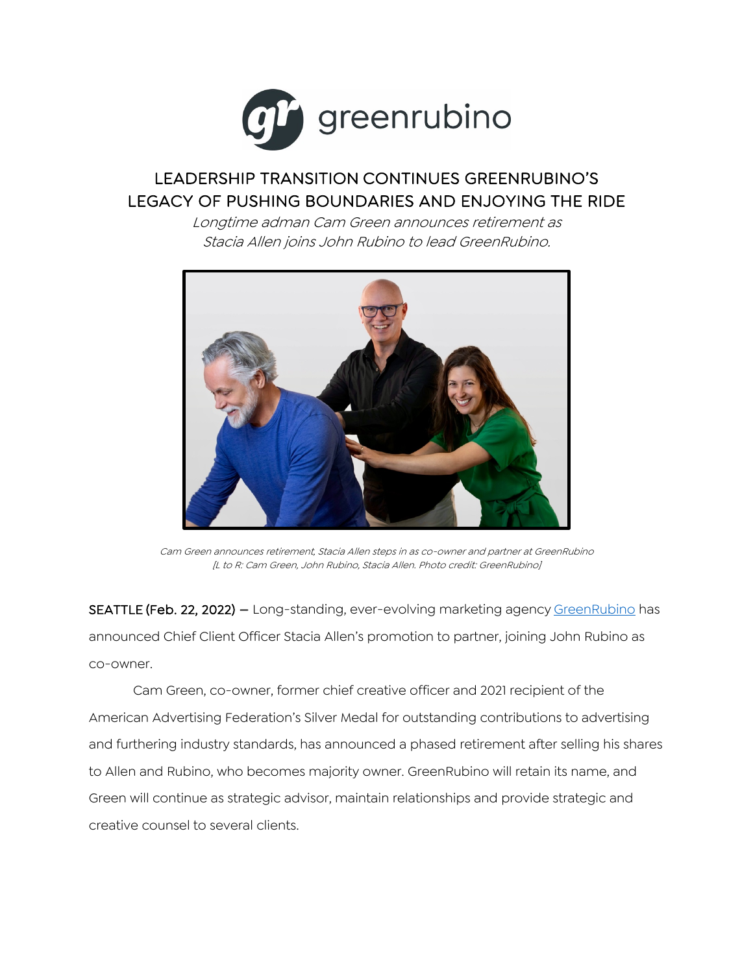

## LEADERSHIP TRANSITION CONTINUES GREENRUBINO'S LEGACY OF PUSHING BOUNDARIES AND ENJOYING THE RIDE

Longtime adman Cam Green announces retirement as Stacia Allen joins John Rubino to lead GreenRubino.



Cam Green announces retirement, Stacia Allen steps in as co-owner and partner at GreenRubino [L to R: Cam Green, John Rubino, Stacia Allen. Photo credit: GreenRubino]

SEATTLE (Feb. 22, 2022) – Long-standing, ever-evolving marketing agency GreenRubino has announced Chief Client Officer Stacia Allen's promotion to partner, joining John Rubino as co-owner.

Cam Green, co-owner, former chief creative officer and 2021 recipient of the American Advertising Federation's Silver Medal for outstanding contributions to advertising and furthering industry standards, has announced a phased retirement after selling his shares to Allen and Rubino, who becomes majority owner. GreenRubino will retain its name, and Green will continue as strategic advisor, maintain relationships and provide strategic and creative counsel to several clients.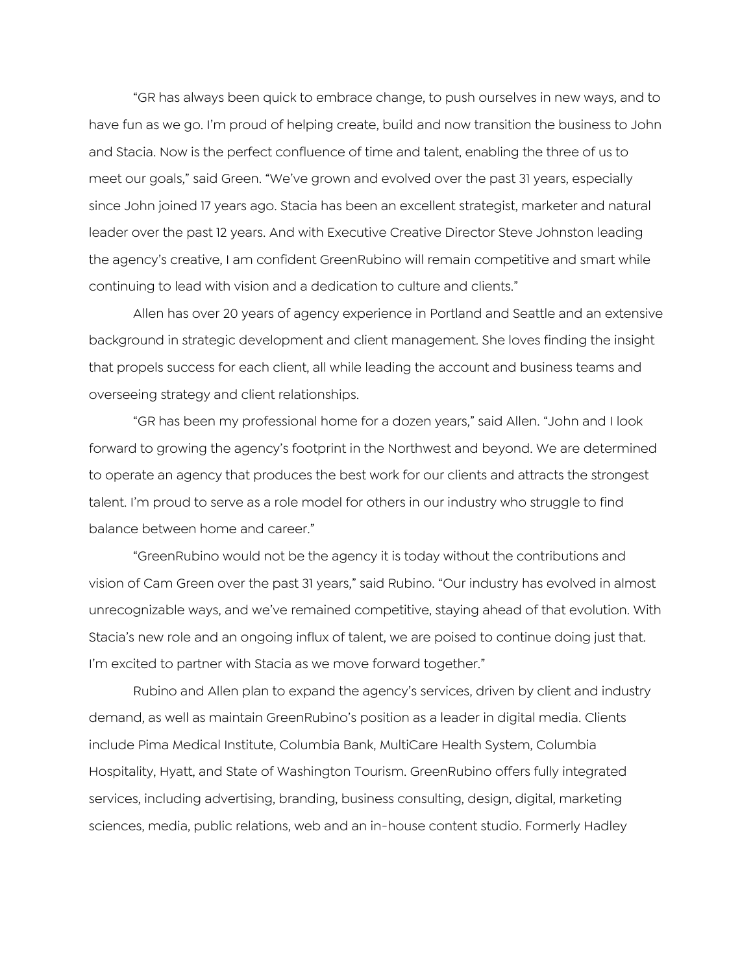"GR has always been quick to embrace change, to push ourselves in new ways, and to have fun as we go. I'm proud of helping create, build and now transition the business to John and Stacia. Now is the perfect confluence of time and talent, enabling the three of us to meet our goals," said Green. "We've grown and evolved over the past 31 years, especially since John joined 17 years ago. Stacia has been an excellent strategist, marketer and natural leader over the past 12 years. And with Executive Creative Director Steve Johnston leading the agency's creative, I am confident GreenRubino will remain competitive and smart while continuing to lead with vision and a dedication to culture and clients."

Allen has over 20 years of agency experience in Portland and Seattle and an extensive background in strategic development and client management. She loves finding the insight that propels success for each client, all while leading the account and business teams and overseeing strategy and client relationships.

"GR has been my professional home for a dozen years," said Allen. "John and I look forward to growing the agency's footprint in the Northwest and beyond. We are determined to operate an agency that produces the best work for our clients and attracts the strongest talent. I'm proud to serve as a role model for others in our industry who struggle to find balance between home and career."

"GreenRubino would not be the agency it is today without the contributions and vision of Cam Green over the past 31 years," said Rubino. "Our industry has evolved in almost unrecognizable ways, and we've remained competitive, staying ahead of that evolution. With Stacia's new role and an ongoing influx of talent, we are poised to continue doing just that. I'm excited to partner with Stacia as we move forward together."

Rubino and Allen plan to expand the agency's services, driven by client and industry demand, as well as maintain GreenRubino's position as a leader in digital media. Clients include Pima Medical Institute, Columbia Bank, MultiCare Health System, Columbia Hospitality, Hyatt, and State of Washington Tourism. GreenRubino offers fully integrated services, including advertising, branding, business consulting, design, digital, marketing sciences, media, public relations, web and an in-house content studio. Formerly Hadley